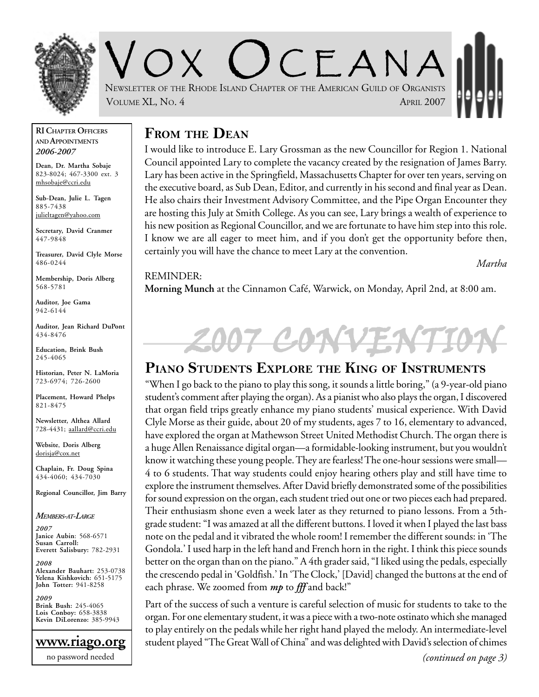

 $C$   $\vdash$  A N A NEWSLETTER OF THE RHODE ISLAND CHAPTER OF THE AMERICAN GUILD OF ORGANISTS VOLUME XL, No. 4 APRIL 2007

#### **RI CHAPTER OFFICERS AND APPOINTMENTS** *2006-2007*

**Dean, Dr. Martha Sobaje** 823-8024; 467-3300 ext. 3 mhsobaje@ccri.edu

**Sub-Dean, Julie L. Tagen** 885-7438 julieltagen@yahoo.com

**Secretary, David Cranmer** 447-9848

**Treasurer, David Clyle Morse** 486-0244

**Membership, Doris Alberg** 568-5781

**Auditor, Joe Gama** 942-6144

**Auditor, Jean Richard DuPont** 434-8476

**Education, Brink Bush** 245-4065

**Historian, Peter N. LaMoria** 723-6974; 726-2600

**Placement, Howard Phelps** 821-8475

**Newsletter, Althea Allard** 728-4431; aallard@ccri.edu

**Website**, **Doris Alberg** dorisja@cox.net

**Chaplain, Fr. Doug Spina** 434-4060; 434-7030

**Regional Councillor, Jim Barry**

*MEMBERS-AT-LARGE*

*2007* **Janice Aubin**: 568-6571 **Susan Carroll: Everett Salisbury:** 782-2931

*2008* **Alexander Bauhart:** 253-0738 **Yelena Kishkovich:** 651-5175 **John Totter:** 941-8258

*2009* **Brink Bush:** 245-4065 **Lois Conboy:** 658-3838 **Kevin DiLorenzo:** 385-9943



## **FROM THE DEAN**

I would like to introduce E. Lary Grossman as the new Councillor for Region 1. National Council appointed Lary to complete the vacancy created by the resignation of James Barry. Lary has been active in the Springfield, Massachusetts Chapter for over ten years, serving on the executive board, as Sub Dean, Editor, and currently in his second and final year as Dean. He also chairs their Investment Advisory Committee, and the Pipe Organ Encounter they are hosting this July at Smith College. As you can see, Lary brings a wealth of experience to his new position as Regional Councillor, and we are fortunate to have him step into this role. I know we are all eager to meet him, and if you don't get the opportunity before then, certainly you will have the chance to meet Lary at the convention.

*Martha*

#### REMINDER:

**Morning Munch** at the Cinnamon Café, Warwick, on Monday, April 2nd, at 8:00 am.

# 2007 CONT

## **PIANO STUDENTS EXPLORE THE KING OF INSTRUMENTS**

"When I go back to the piano to play this song, it sounds a little boring," (a 9-year-old piano student's comment after playing the organ). As a pianist who also plays the organ, I discovered that organ field trips greatly enhance my piano students' musical experience. With David Clyle Morse as their guide, about 20 of my students, ages 7 to 16, elementary to advanced, have explored the organ at Mathewson Street United Methodist Church. The organ there is a huge Allen Renaissance digital organ—a formidable-looking instrument, but you wouldn't know it watching these young people. They are fearless! The one-hour sessions were small— 4 to 6 students. That way students could enjoy hearing others play and still have time to explore the instrument themselves. After David briefly demonstrated some of the possibilities for sound expression on the organ, each student tried out one or two pieces each had prepared. Their enthusiasm shone even a week later as they returned to piano lessons. From a 5thgrade student: "I was amazed at all the different buttons. I loved it when I played the last bass note on the pedal and it vibrated the whole room! I remember the different sounds: in 'The Gondola.' I used harp in the left hand and French horn in the right. I think this piece sounds better on the organ than on the piano." A 4th grader said, "I liked using the pedals, especially the crescendo pedal in 'Goldfish.' In 'The Clock,' [David] changed the buttons at the end of each phrase. We zoomed from *mp* to *fff* and back!"

Part of the success of such a venture is careful selection of music for students to take to the organ. For one elementary student, it was a piece with a two-note ostinato which she managed to play entirely on the pedals while her right hand played the melody. An intermediate-level student played "The Great Wall of China" and was delighted with David's selection of chimes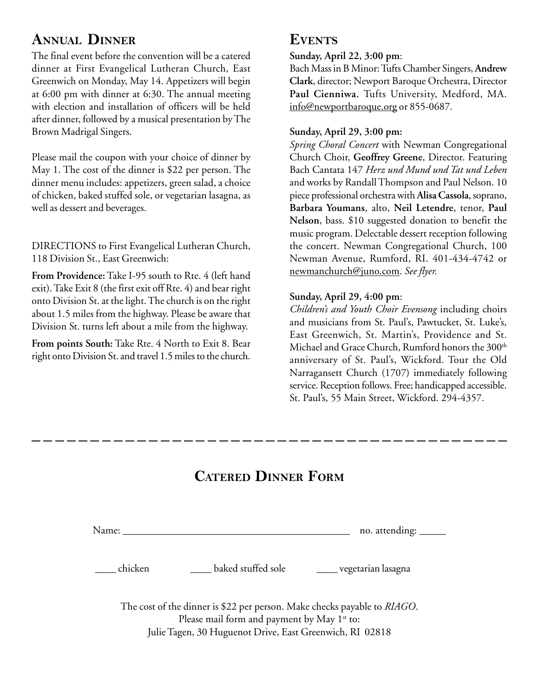## **ANNUAL DINNER**

The final event before the convention will be a catered dinner at First Evangelical Lutheran Church, East Greenwich on Monday, May 14. Appetizers will begin at 6:00 pm with dinner at 6:30. The annual meeting with election and installation of officers will be held after dinner, followed by a musical presentation by The Brown Madrigal Singers.

Please mail the coupon with your choice of dinner by May 1. The cost of the dinner is \$22 per person. The dinner menu includes: appetizers, green salad, a choice of chicken, baked stuffed sole, or vegetarian lasagna, as well as dessert and beverages.

DIRECTIONS to First Evangelical Lutheran Church, 118 Division St., East Greenwich:

**From Providence:** Take I-95 south to Rte. 4 (left hand exit). Take Exit 8 (the first exit off Rte. 4) and bear right onto Division St. at the light. The church is on the right about 1.5 miles from the highway. Please be aware that Division St. turns left about a mile from the highway.

**From points South:** Take Rte. 4 North to Exit 8. Bear right onto Division St. and travel 1.5 miles to the church.

## **EVENTS**

**Sunday, April 22, 3:00 pm**:

Bach Mass in B Minor: Tufts Chamber Singers, **Andrew Clark**, director; Newport Baroque Orchestra, Director **Paul Cienniwa.** Tufts University, Medford, MA. info@newportbaroque.org or 855-0687.

### **Sunday, April 29, 3:00 pm:**

*Spring Choral Concert* with Newman Congregational Church Choir, **Geoffrey Greene**, Director. Featuring Bach Cantata 147 *Herz und Mund und Tat und Leben* and works by Randall Thompson and Paul Nelson. 10 piece professional orchestra with **Alisa Cassola**, soprano, **Barbara Youmans**, alto, **Neil Letendre**, tenor, **Paul Nelson**, bass. \$10 suggested donation to benefit the music program. Delectable dessert reception following the concert. Newman Congregational Church, 100 Newman Avenue, Rumford, RI. 401-434-4742 or newmanchurch@juno.com. *See flyer.*

### **Sunday, April 29, 4:00 pm**:

*Children's and Youth Choir Evensong* including choirs and musicians from St. Paul's, Pawtucket, St. Luke's, East Greenwich, St. Martin's, Providence and St. Michael and Grace Church, Rumford honors the 300<sup>th</sup> anniversary of St. Paul's, Wickford. Tour the Old Narragansett Church (1707) immediately following service. Reception follows. Free; handicapped accessible. St. Paul's, 55 Main Street, Wickford. 294-4357.

# **CATERED DINNER FORM**

Name: \_\_\_\_\_\_\_\_\_\_\_\_\_\_\_\_\_\_\_\_\_\_\_\_\_\_\_\_\_\_\_\_\_\_\_\_\_\_\_\_\_\_\_ no. attending: \_\_\_\_\_

\_\_\_\_ chicken \_\_\_\_ baked stuffed sole \_\_\_\_ vegetarian lasagna

The cost of the dinner is \$22 per person. Make checks payable to *RIAGO*. Please mail form and payment by May  $1^{st}$  to: Julie Tagen, 30 Huguenot Drive, East Greenwich, RI 02818